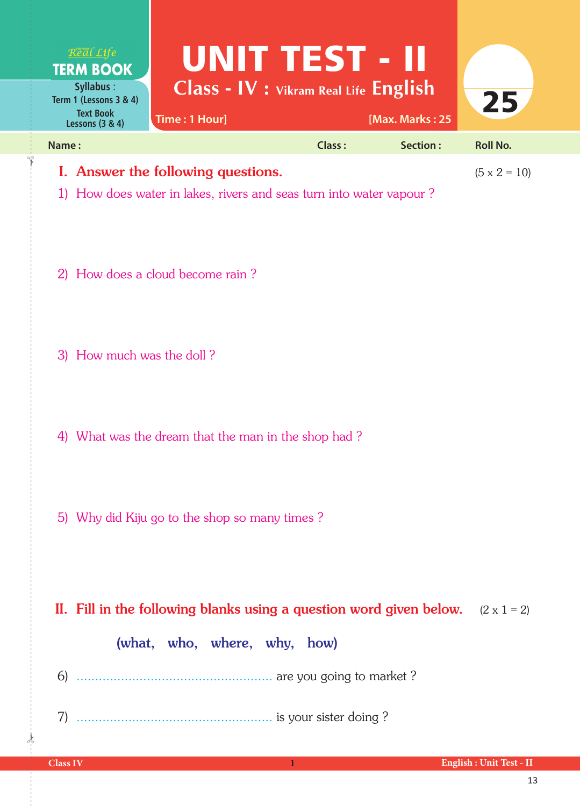| Real Life<br><b>TERM BOOK</b><br><b>Syllabus:</b>               | UNIT TEST - II<br>Class - IV : Vikram Real Life English                                                   |               |                 |                     |
|-----------------------------------------------------------------|-----------------------------------------------------------------------------------------------------------|---------------|-----------------|---------------------|
| Term 1 (Lessons 3 & 4)<br><b>Text Book</b><br>Lessons $(3 & 4)$ | Time: 1 Hour]                                                                                             |               | [Max. Marks: 25 | 25                  |
| Name:                                                           |                                                                                                           | <b>Class:</b> | Section:        | <b>Roll No.</b>     |
|                                                                 | I. Answer the following questions.<br>1) How does water in lakes, rivers and seas turn into water vapour? |               |                 | $(5 \times 2 = 10)$ |
|                                                                 | 2) How does a cloud become rain?                                                                          |               |                 |                     |
| 3) How much was the doll?                                       |                                                                                                           |               |                 |                     |
|                                                                 | 4) What was the dream that the man in the shop had?                                                       |               |                 |                     |
|                                                                 | 5) Why did Kiju go to the shop so many times?                                                             |               |                 |                     |
|                                                                 | II. Fill in the following blanks using a question word given below.<br>(what, who, where, why, how)       |               |                 | $(2 \times 1 = 2)$  |
|                                                                 |                                                                                                           |               |                 |                     |
|                                                                 |                                                                                                           |               |                 |                     |

 $\frac{1}{2}$ 

✁